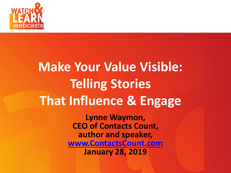

#### **Make Your Value Visible:** *Subhead Can Be Placed Here* **Telling Stories That Influence & Engage**

**Lynne Waymon, CEO of Contacts Count, author and speaker, [www.ContactsCount.com](http://www.contactscount.com/) January 28, 2019**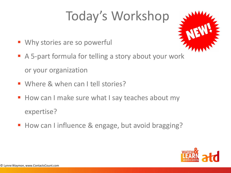# Today's Workshop

- Why stories are so powerful
- A 5-part formula for telling a story about your work or your organization
- Where & when can I tell stories?
- How can I make sure what I say teaches about my expertise?
- How can I influence & engage, but avoid bragging?

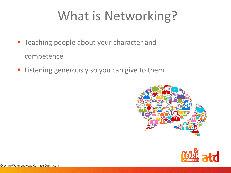## What is Networking?

- **EXTE acting people about your character and** competence
- **Example 1** Listening generously so you can give to them



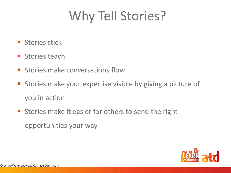## Why Tell Stories?

- **E** Stories stick
- $\blacksquare$  Stories teach
- **E** Stories make conversations flow
- **E** Stories make your expertise visible by giving a picture of you in action
- **EXTER Stories make it easier for others to send the right** opportunities your way

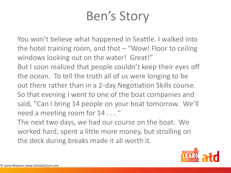## Ben's Story

You won't believe what happened in Seattle. I walked into the hotel training room, and thot – "Wow! Floor to ceiling windows looking out on the water! Great!" But I soon realized that people couldn't keep their eyes off the ocean. To tell the truth all of us were longing to be out there rather than in a 2-day Negotiation Skills course. So that evening I went to one of the boat companies and said, "Can I bring 14 people on your boat tomorrow. We'll need a meeting room for 14 . . . "

The next two days, we had our course on the boat. We worked hard, spent a little more money, but strolling on the deck during breaks made it all worth it.

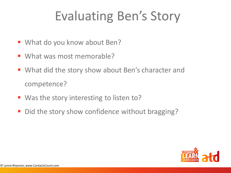## Evaluating Ben's Story

- What do you know about Ben?
- What was most memorable?
- What did the story show about Ben's character and competence?
- Was the story interesting to listen to?
- Did the story show confidence without bragging?

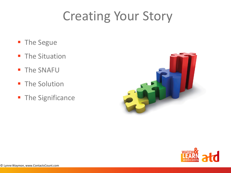## Creating Your Story

- The Segue
- **The Situation**
- The SNAFU
- **The Solution**
- **The Significance**



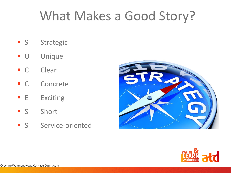## What Makes a Good Story?

- **S** Strategic
- **U** Unique
- C Clear
- C Concrete
- **E** Exciting
- **S** Short
- **S** Service-oriented



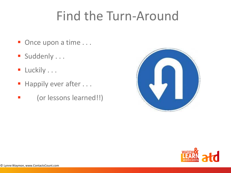#### Find the Turn-Around

- Once upon a time . . .
- **B** Suddenly ...
- **E** Luckily . . .
- Happily ever after . . .
- (or lessons learned!!)



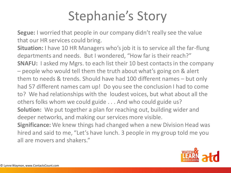## Stephanie's Story

**Segue:** I worried that people in our company didn't really see the value that our HR services could bring.

**Situation:** I have 10 HR Managers who's job it is to service all the far-flung departments and needs. But I wondered, "How far is their reach?" **SNAFU:** I asked my Mgrs. to each list their 10 best contacts in the company – people who would tell them the truth about what's going on & alert them to needs & trends. Should have had 100 different names – but only had 57 different names cam up! Do you see the conclusion I had to come to? We had relationships with the loudest voices, but what about all the others folks whom we could guide . . . And who could guide us? **Solution:** We put together a plan for reaching out, building wider and deeper networks, and making our services more visible. **Significance:** We knew things had changed when a new Division Head was

hired and said to me, "Let's have lunch. 3 people in my group told me you all are movers and shakers."

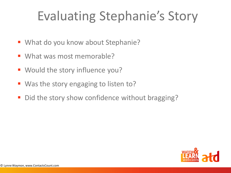## Evaluating Stephanie's Story

- What do you know about Stephanie?
- What was most memorable?
- Would the story influence you?
- Was the story engaging to listen to?
- Did the story show confidence without bragging?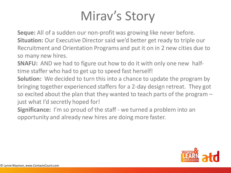## Mirav's Story

**Seque:** All of a sudden our non-profit was growing like never before. **Situation:** Our Executive Director said we'd better get ready to triple our Recruitment and Orientation Programs and put it on in 2 new cities due to so many new hires.

**SNAFU:** AND we had to figure out how to do it with only one new halftime staffer who had to get up to speed fast herself!

**Solution:** We decided to turn this into a chance to update the program by bringing together experienced staffers for a 2-day design retreat. They got so excited about the plan that they wanted to teach parts of the program – just what I'd secretly hoped for!

**Significance:** I'm so proud of the staff - we turned a problem into an opportunity and already new hires are doing more faster.

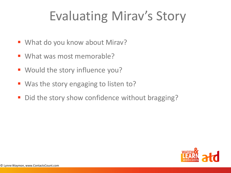## Evaluating Mirav's Story

- What do you know about Mirav?
- What was most memorable?
- Would the story influence you?
- Was the story engaging to listen to?
- Did the story show confidence without bragging?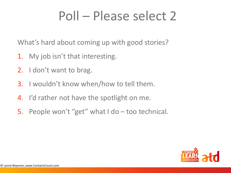## Poll – Please select 2

What's hard about coming up with good stories?

- 1. My job isn't that interesting.
- 2. I don't want to brag.
- 3. I wouldn't know when/how to tell them.
- 4. I'd rather not have the spotlight on me.
- 5. People won't "get" what I do too technical.

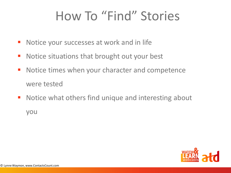## How To "Find" Stories

- Notice your successes at work and in life
- Notice situations that brought out your best
- Notice times when your character and competence were tested
- Notice what others find unique and interesting about you

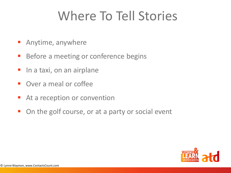## Where To Tell Stories

- Anytime, anywhere
- Before a meeting or conference begins
- In a taxi, on an airplane
- **Over a meal or coffee**
- At a reception or convention
- On the golf course, or at a party or social event

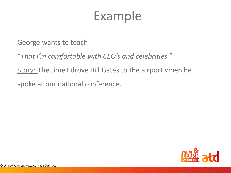#### Example

George wants to teach

"*That I'm comfortable with CEO's and celebrities."* 

Story: The time I drove Bill Gates to the airport when he

spoke at our national conference.

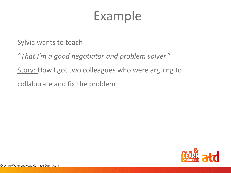#### Example

Sylvia wants to teach

*"That I'm a good negotiator and problem solver."* 

Story: How I got two colleagues who were arguing to

collaborate and fix the problem

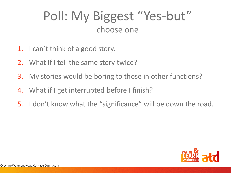#### Poll: My Biggest "Yes-but" choose one

- 1. I can't think of a good story.
- 2. What if I tell the same story twice?
- 3. My stories would be boring to those in other functions?
- 4. What if I get interrupted before I finish?
- 5. I don't know what the "significance" will be down the road.

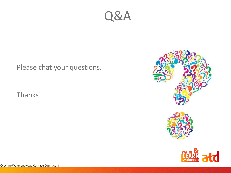

Please chat your questions.

Thanks!

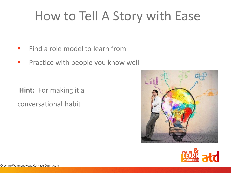## How to Tell A Story with Ease

- Find a role model to learn from
- **Practice with people you know well**

**Hint:** For making it a conversational habit



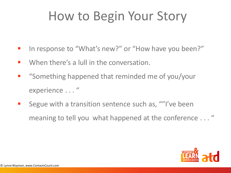## How to Begin Your Story

- In response to "What's new?" or "How have you been?"
- $\blacksquare$  When there's a lull in the conversation.
- "Something happened that reminded me of you/your experience . . . "
- Segue with a transition sentence such as, ""I've been meaning to tell you what happened at the conference . . . "

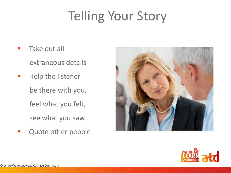## Telling Your Story

- **Take out all** extraneous details
- Help the listener be there with you, feel what you felt, see what you saw
- **E** Quote other people



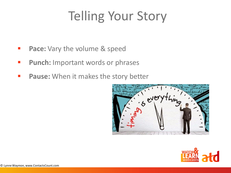## Telling Your Story

- Pace: Vary the volume & speed
- **<u>■** Punch: Important words or phrases</u>
- **Pause:** When it makes the story better



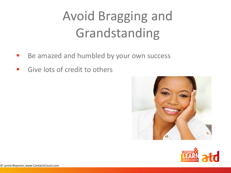# Avoid Bragging and Grandstanding

- Be amazed and humbled by your own success
- Give lots of credit to others



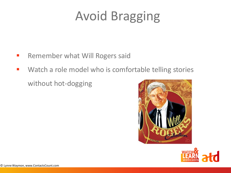## Avoid Bragging

- Remember what Will Rogers said
- Watch a role model who is comfortable telling stories without hot-dogging



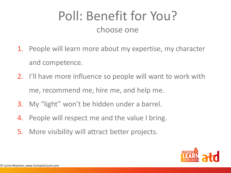#### Poll: Benefit for You? choose one

- 1. People will learn more about my expertise, my character and competence.
- 2. I'll have more influence so people will want to work with me, recommend me, hire me, and help me.
- 3. My "light" won't be hidden under a barrel.
- 4. People will respect me and the value I bring.
- 5. More visibility will attract better projects.

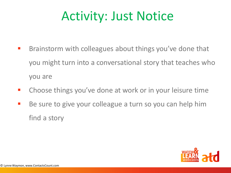#### Activity: Just Notice

- Brainstorm with colleagues about things you've done that you might turn into a conversational story that teaches who you are
- Choose things you've done at work or in your leisure time
- Be sure to give your colleague a turn so you can help him find a story

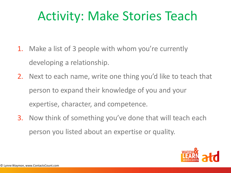#### Activity: Make Stories Teach

- 1. Make a list of 3 people with whom you're currently developing a relationship.
- 2. Next to each name, write one thing you'd like to teach that person to expand their knowledge of you and your expertise, character, and competence.
- 3. Now think of something you've done that will teach each person you listed about an expertise or quality.

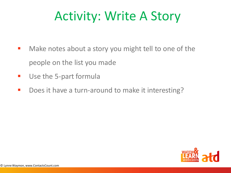## Activity: Write A Story

- Make notes about a story you might tell to one of the people on the list you made
- Use the 5-part formula
- Does it have a turn-around to make it interesting?

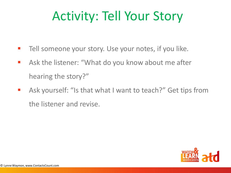## Activity: Tell Your Story

- Tell someone your story. Use your notes, if you like.
- Ask the listener: "What do you know about me after hearing the story?"
- Ask yourself: "Is that what I want to teach?" Get tips from the listener and revise.

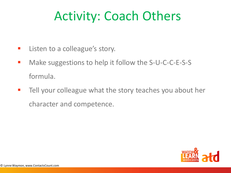### Activity: Coach Others

- **E** Listen to a colleague's story.
- Make suggestions to help it follow the S-U-C-C-E-S-S formula.
- Tell your colleague what the story teaches you about her character and competence.

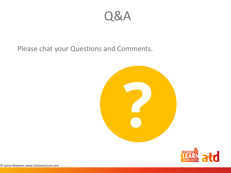Q&A

Please chat your Questions and Comments.